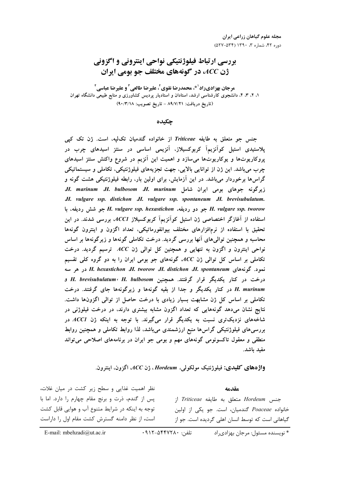# بررسي ارتباط فيلوژنتيكي نواحي اينتروني و اگزوني ژن ACC، در گونههای مختلف جو بومی ایران

مرجان بهزاديراد<sup>10</sup>، محمدرضا نقوي<sup>7</sup>، عليرضا طالعي<sup>3</sup> و عليرضا عباسي<sup>1</sup> ۱، ۲، ۳، ۴، دانشجوی کارشناسی ارشد، استادان و استادیار پردیس کشاورزی و منابع طبیعی دانشگاه تهران (تاريخ دريافت: ٨٩/٧/٢١ - تاريخ تصويب: ٩٠/٣/١٨)

چکىدە

جنس جو متعلق به طايفه Triticeae از خانواده گندميان تكليه، است. ژن تك كپي پلاستیدی استیل کوآنزیمآ کربوکسیلاز، آنزیمی اساسی در سنتز اسیدهای چرب در پروکاریوتها و یوکاریوتها میسازد و اهمیت این آنزیم در شروع واکنش سنتز اسیدهای چرب میباشد. این ژن از توانایی بالایی، جهت تجزیههای فیلوژنتیکی، تکاملی و سیستماتیکی گراسها برخوردار میباشد. در این آزمایش، برای اولین بار، رابطه فیلوژنتیکی هشت گونه و J. marinum J. bulbosom J. murinum شرکونه جوهای بومی ایران شامل J. vulgare ssp. distichon J.H. vulgare ssp. spontaneum J.H. brevisubulatum. H. vulgare ssp. tworow جو دو رديفه، H. vulgare ssp. hexastichon جو شش رديفه، با استفاده از آغازگر اختصاصی ژن استیل کوآنزیمآ کربوکسیلاز ACCI، بررسی شدند. در این تحقیق با استفاده از نرمافزارهای مختلف بیوانفورماتیکی، تعداد اگزون و اینترون گونهها محاسبه و همچنین توالی های آنها بررسی گردید. درخت تکاملی گونهها و زیرگونهها بر اساس نواحی اینترون و اگزون به تنهایی و همچنین کل توالی ژن ACC ترسیم گردید. درخت تکاملی بر اساس کل توالی ژن ACC گونههای جو بومی ایران را به دو گروه کلی تقسیم نمود. گونههای H. hexastichon ،H. tworow ،H. distichon ،H. spontaneum در هر سه درخت در کنار یکدیگر قرار گرفتند. همچنین H. brevisubulatum، H. bulbosom و H. murinum در کنار یکدیگر و جدا از بقیه گونهها و زیرگونهها جای گرفتند. درخت تکاملی بر اساس کل ژن مشابهت بسیار زیادی با درخت حاصل از توالی اگزونها داشت. نتایج نشان میدهد گونههایی که تعداد اگزون مشابه بیشتری دارند، در درخت فیلوژنی در شاخههای نزدیکتری نسبت به یکدیگر قرار میگیرند. با توجه به اینکه ژن ACCI در بررسیهای فیلوژنتیکی گراسها منبع ارزشمندی میباشد، لذا روابط تکاملی و همچنین روابط منطقی و معقول تاکسونومی گونههای مهم و بومی جو ایران در برنامههای اصلاحی می تواند مفيد باشد.

واژههای کلیدی: فیلوژنتیک مولکولی، Hordeum، ژن ACC اگزون، اینترون.

نظر اهمیت غذایی و سطح زیر کشت در میان غلات، مقدمه پس از گندم، ذرت و برنج مقام چهارم را دارد. اما با جنس Hordeum متعلق به طايفه Triticeae ا; توجه به اینکه در شرایط متنوع آب و هوایی قابل کشت خانواده Poaceae گندمیان، است. جو یکی از اولین است، از نظر دامنه گسترش کشت مقام اول را داراست گیاهانی است که توسط انسان اهلی گردیده است. جو از

E-mail: mbehzadi@ut.ac.ir

\* نويسنده مسئول: مرجان پهزادي, اد تلفن: ۰۹۱۲-۵۴۴۷۲۸۰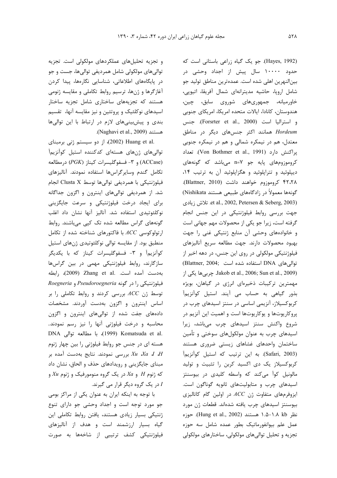(Hayes, 1992). جو یک گیاه زراعی باستانی است که حدود ۱۰۰۰۰ سال پیش از اجداد وحشی در بين|لنهرين اهلي شده است. عمدهترين مناطق توليد جو شامل اروپا، حاشیه مدیترانهای شمال آفریقا، اتیوپی، خاورمیانه، جمهوریهای شوروی سابق، چین، هندوستان، كانادا، ايالات متحده امريكا، امريكاي جنوبي و استرالیا است (Forsrter et al., 2000). جنس Hordeum همانند اکثر جنسهای دیگر در مناطق معتدل، هم در نیمکره شمالی و هم در نیمکره جنوبی يراكنش دارد (Von Bothmer et al., 1991). تعداد کروموزومهای پایه جو n=۷ میباشد که گونههای دیپلوئید و تتراپلوئید و هگزاپلوئید آن به ترتیب ١۴، ۴۲،۲۸ کروموزوم خواهند داشت (Blattner, 2010). گونهها معمولاً در زادگاههای طبیعی هستند Nishikata) et al., 2002, Petersen & Seberg, 2003). تلاش زيادى جهت بررسی روابط فیلوژنتیکی در این جنس انجام گرفته است، زیرا جو یکی از محصولات مهم جهانی است و خانوادههای وحشی آن منابع ژنتیکی غنی را جهت بهبود محصولات دارند. جهت مطالعه سريع آناليزهاى فیلوژنتیکی مولکولی در روی این جنس، در دهه اخیر از توالی های DNA استفاده شده است ;Blattner, 2004 Jakob et al., 2006; Sun et al., 2009). چربی ها یکی از مهمترین ترکیبات ذخیرهای انرژی در گیاهان، بویژه بذور گیاهی به حساب می آیند. استیل کوآنزیمآ کربوکسیلاز، آنزیمی اساسی در سنتز اسیدهای چرب در پروکاریوتها و یوکاریوتها است و اهمیت این آنزیم در شروع واكنش سنتز اسيدهاى چرب مىباشد، زيرا اسیدهای چرب به عنوان مولکولهای سوختی و تأمین ساختمان واحدهاى غشاهاى زيستى ضرورى هستند (Safari, 2003). به این ترتیب که استیل کوآنزیمآ کربوکسیلاز یک دی اکسید کربن را تثبیت و تولید مالونیل کواً میکند که واسطه کلیدی در بیوسنتز اسیدهای چرب و متابولیتهای ثانویه گوناگون است. ایزوفرمهای متفاوت ژن ACC در اولین گام کاتالیزی بیوسنتز اسیدهای چرب یافته شدهاند. قطعات ژن مورد نظر N.۵−۱.۸ kb. هستند (Hung et al., 2002). حوزه عمل علم بیوانفورماتیک بطور عمده شامل سه حوزه تجزيه و تحليل توالي هاي مولكولي، ساختارهاي مولكولي

و تجزیه تحلیلهای عملکردهای مولکولی است. تجزیه توالی های مولکولی شامل همردیفی توالی ها، جست و جو در پایگاههای اطلاعاتی، شناسایی نگارهها، پیدا کردن آغازگرها و ژنها، ترسیم روابط تکاملی و مقایسه ژنومی هستند که تجزیههای ساختاری شامل تجزیه ساختار اسیدهای نوکلئیک و پروتئین و نیز مقایسه آنها، تقسیم بندی و پیش بینیهای لازم در ارتباط با این توالیها هستند (Naghavi et al., 2009).

.Huang et al (2002)، از دو سیستم ژنی برمبنای توالی های ژنهای هستهای کدکننده استیل کوآنزیمآ (ACCase) و ٣- فسفوكليسرات كيناز (PGK) درمطالعه تكامل گندم وسايرگراسها استفاده نمودند. آناليزهاى فيلوژنتيكي با همرديفي توالي ها توسط Clusta X انجام شد. از همردیفی توالیهای اینترون و اگزون جداگانه برای ایجاد درخت فیلوژنتیکی و سرعت جایگزینی نوكلئوتيدي استفاده شد. آناليز آنها نشان داد اغلب گونههای گراس مطالعه شده تک کیی می باشند. روابط ارتولوکوسی ACC با فاکتورهای شناخته شده از تکامل منطبق بود. از مقايسه توالي نوكلئوتيدي ژنهاي استيل کوآنزیمآ و ۳- فسفوگلیسرات کیناز که با یکدیگر سازگارند، روابط فیلوژنتیکی مهمی در بین گراسها بهدست آمده است. .Zhang et al (2009) رابطه Roegneria و Roegneria و Roegneria توسط ژن ACC بررسی کردند و روابط تکاملی را بر اساس اینترون و اگزون بهدست آوردند. مشخصات دادههای جفت شده از توالیهای اینترون و اگزون محاسبه و درخت فیلوژنی آنها را نیز رسم نمودند. DNA با مطالعه توالی DNA (1999)، با مطالعه توالی هسته ای در جنس جو روابط فیلوژنی را بین چهار ژنوم بررسی نمودند. نتایج بهدست آمده بر Xu Xa I H مبنای جایگزینی و رویدادهای حذف و الحاق، نشان داد که ژنوم H و Xa در یک گروه منومورفیک و ژنوم Xu و در یک گروه دیگر قرار می گیرند.

با توجه به اینکه ایران به عنوان یکی از مراکز بومی جو مورد توجه است و اجداد وحشی جو دارای تنوع ژنتیکی بسیار زیادی هستند، یافتن روابط تکاملی این گیاه بسیار ارزشمند است و هدف از آنالیزهای فیلوژنتیکی کشف ترتیبی از شاخهها به صورت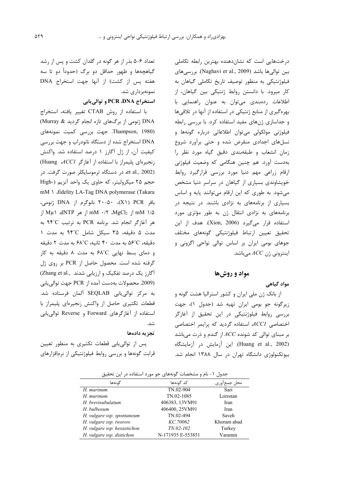درختهایی است که نشاندهنده بهترین رابطه تکاملی بين توالي ها باشد (Naghavi et al., 2009). بررسي هاي فیلوژنتیکی به منظور توصیف تاریخ تکاملی گیاهان به کار میرود. با دانستن روابط ژنتیکی بین گیاهان، از اطلاعات ردهبندی میتوان به عنوان راهنمایی با بهرهگیری از منابع ژنتیکی در استفاده از آنها در تلاقیها و جداسازی ژنهای مفید استفاده کرد. با بررسی رابطه فیلوژنی مولکولی میتوان اطلاعاتی درباره گونهها و نسلهای اجدادی منقرض شده و حتی برآورد شروع زمان انشعاب وطبقهبندی دقیق گیاه مورد نظر را بهدست آورد. هم چنین هنگامی که وضعیت فیلوژنی ارقام زراعى مهم دنيا مورد بررسى قراركيرد روابط خویشاوندی بسیاری از گیاهان در سراسر دنیا مشخص می شود. به طوری که این ارقام می توانند پایه و اساس بسیاری از برنامههای به نژادی باشند. در نتیجه در برنامههای به نژادی انتقال ژن به طور مؤثری مورد استفاده قرار میگیرد (Xion, 2006). هدف از این تحقيق تعيين ارتباط فيلوژنتيكي گونههاى مختلف جوهای بومی ایران بر اساس توالی نواحی اگزونی و اینترونی ژن  $ACC$ میباشد.

### مواد و روشها

### مواد گیاهی

از بانک ژن ملی ایران و کشور استرالیا هشت گونه و زیرگونه جو بومی ایران تهیه شد (جدول ۱)، جهت بررسی روابط فیلوژنتیکی در این تحقیق از آغازگر اختصاصی ACCI، استفاده گردید که پرایمر اختصاصی بر مبنای توالی کد شونده ACC از گندم و ذرت میباشد (Huang et al., 2002). این آزمایش در آزمایشگاه بیوتکنولوژی دانشگاه تهران در سال ۱۳۸۸ انجام شد.

تعداد ۶-۵ بذر از هر گونه در گلدان کشت و پس از رشد گیاهچهها و ظهور حداقل دو برگ (حدوداً دو تا سه هفته پس از کشت) از آنها جهت استخراج DNA نمونەبردارى شد.

### استخراج PCR ،DNA و توالي يابي

با استفاده از روش CTAB تغییر یافته، استخراج DNA ژنومی از برگ های تازه انجام گردید & Murray) (Thampson, 1980. جهت بررسی کمیت نمونههای DNA استخراج شده از دستگاه نانودراپ و جهت بررسی كيفيت آن، از ژل آگارز ١ درصد استفاده شد. واكنش زنجيرهاى پليمراز با استفاده از آغازكر Huang ACCI) et al., 2002). در دستگاه ترموسایکلر صورت گرفت. در حجم ۲۵ میکرولیتر، که حاوی یک واحد آنزیم (-High mM \ .fidelity LA-Tag DNA polymerase (Takara بافر X۱) PCR)، ۲۰-۵۰ نانوگرم از DNA ژنومی، mM ۱/۵ از mM ۰/۲ ،MgCl2 از هر Mµ۱ ،dNTP از هر آغازگر انجام شد. برنامه PCR به ترتیب ٩٤°C به مدت ۵ دقیقه، ۳۵ سیکل شامل ۹۴°C به مدت ۱ دقيقه،  $\mathbb{C}^{\circ}$ ۵۶° به مدت ۴۰ ثانيه، ۶۸°C به مدت ۲ دقيقه و دمای بسط نهایی ۶۸°C به مدت ۸ دقیقه به کار گرفته شده است. محصول حاصل از PCR بر روی ژل آگارز یک درصد تفکیک و ارزیابی شدند ,.Zhang et al (2009. محصولات بهدست آمده از PCR جهت توالي يابي به مركز توالي يابي SEQLAB آلمان فرستاده شد. قطعات تکثیری حاصل از واکنش زنجیرهای پلیمراز با استفاده از آغازگرهای Forward و Reverse توالی پایی شد.

#### تجزيه دادهها

پس از توالیeبابی قطعات تکثیری به منظور تعیین قرابت گونهها و بررسی روابط فیلوژنتیکی از نرمافزارهای

|  | جدول ۱- نام و مشخصات گونههای جو مورد استفاده در این تحقیق |  |  |  |  |  |
|--|-----------------------------------------------------------|--|--|--|--|--|
|--|-----------------------------------------------------------|--|--|--|--|--|

| گەنەھا                      | کد گونهها         | محل جمع وری |
|-----------------------------|-------------------|-------------|
| H. marinum                  | $TN.02 - 904$     | Sari        |
| H. murinum                  | TN.02-1085        | Lorestan    |
| H. brevisubulatum           | 406383, 13VM91    | Iran        |
| H. bulbosum                 | 406400, 25VM91    | Iran        |
| H. vulgare ssp. spontaneum  | TN.02-494         | Saveh       |
| H. vulgare ssp. tworow      | KC.70062          | Khoram abad |
| H. vulgare ssp. hexastichon | $TN$ , 02-102     | Turkey      |
| H. vulgare ssp. distichon   | N-171935 E-553851 | Varamin     |
|                             |                   |             |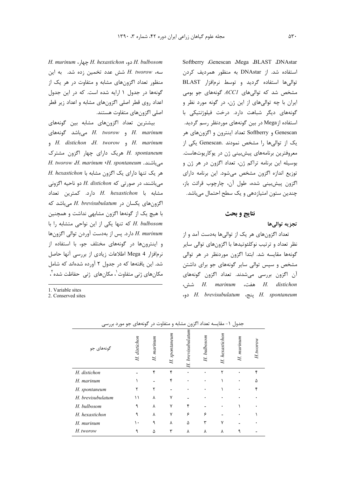Softberry Genescan Mega BLAST DNAstar استفاده شد. از DNAstar به منظور همرديف كردن توالی ها استفاده گردید و توسط نرمافزار BLAST مشخص شد که توالیهای ACCI گونههای جو بومی ايران با چه توالي هاي از اين ژن، در گونه مورد نظر و گونههای دیگر شباهت دارد. درخت فیلوژنتیکی با استفاده ازMega در بین گونههای موردنظر رسم گردید. Genescan و Softberry تعداد اینترون و اگزونهای هر یک از توالیها را مشخص نمودند .Genescan یکی از معروفترین برنامههای پیشبینی ژن در یوکاریوتهاست. بوسیله این برنامه تراکم ژن، تعداد اگزون در هر ژن و توزیع اندازه اگزون مشخص می شود. این برنامه دارای اگزون پیش،بینی شده، طول آن، چارچوب قرائت باز، چندین ستون امتیازدهی و یک سطح احتمال میباشد.

## نتايج و بحث

### تجزيه توالىها

تعداد اگزونهای هر یک از توالیها بهدست آمد و از نظر تعداد و ترتیب نوکلئوتیدها با اگزونهای توالی سایر گونهها مقایسه شد. ابتدا اگزون موردنظر در هر توالی مشخص و سپس توالی سایر گونههای جو برای داشتن آن اگزون بررسی میشدند. تعداد اگزون گونههای *A. marinum* هفت، H. *marinum* شش، ينج، H. brevisubulatum ينج، H. brevisubulatum

H. bulbosom دو، H. hexastichon جهار، H. murinum سه، H. tworow شش عدد تخمین زده شد. به این منظور تعداد اگزونهای مشابه و متفاوت در هر یک از گونهها در جدول ١ ارايه شده است. كه در اين جدول اعداد روی قطر اصلی اگزونهای مشابه و اعداد زیر قطر اصلی اگزونهای متفاوت هستند.

بیشترین تعداد اگزونهای مشابه بین گونههای H. marinum و H. tworow میباشد گونههای H. distichon H. tworow , H. marinum H. spontaneum هریک دارای چهار اگزون مشترک H. tworow J. marinum G. spontaneum . A. hexastichon به ارای یک اگزون مشابه با H. hexastichon می باشند، در صورتی که H. distichon دو ناحیه اگزونی  $H.$  hexastichon دارد. كمترين تعداد اگزونهای یکسان در H. brevisubulatum میباشد که با هیچ یک از گونهها اگزون مشابهی نداشت و همچنین H. bulbosom که تنها یکی از این نواحی متشابه را با H. murinum دارد. پس از بهدست آوردن توالی اگزونها و اینترونها در گونههای مختلف جو، با استفاده از نرمافزار Mega 4 اطلاعات زيادي از بررسي آنها حاصل شد. این یافتهها که در جدول ۲ آورده شدهاند که شامل مکانهای ژنی متفاوت<sup>'</sup>، مکانهای ژنی حفاظت شده <sup>۲</sup>،

1 Variable sites

2. Conserved sites

| گونههای جو        | distichon<br>H | H. marinum | H. spontaneum | brevisubulatum<br>$\mathbf H$ | H. bulbosom | H. hexastichon | murinum<br>H | H.tworow |
|-------------------|----------------|------------|---------------|-------------------------------|-------------|----------------|--------------|----------|
| H. distichon      |                | ۴          | ۴             | ٠                             |             | ۲              |              | ۴        |
| H. marinum        |                |            | ۴             |                               |             |                | ٠            |          |
| H. spontaneum     |                |            |               |                               |             |                |              |          |
| H. brevisubulatum | ۱۱             | ٨          | ٧             |                               |             |                |              |          |
| H. bulbosom       | ٩              | ٨          | ۷             |                               |             |                |              |          |
| H. hexastichon    |                | ٨          |               | ۶                             | ۶           |                |              |          |
| H. murinum        | ٠.             |            | ٨             | ۵                             |             | v              |              |          |
| H. tworow         |                | Δ          |               | ٨                             | ٨           | ٨              |              |          |

جدول ۱- مقایسه تعداد اگزون مشابه و متفاوت در گونههای جو مورد بررسی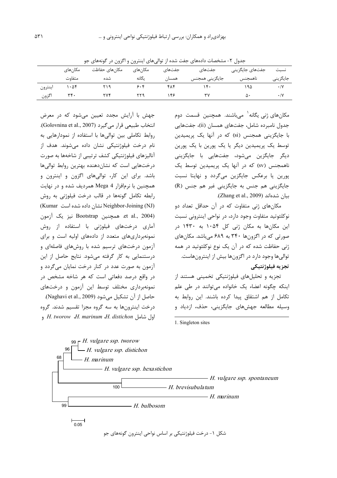|         | .<br>- - - |               |         |        | --             |                 |             |  |
|---------|------------|---------------|---------|--------|----------------|-----------------|-------------|--|
|         | مکان های   | مكانهاى حفاظت | مکانهای | جفتهای | جفتهای         | جفتهای جایگزینی | نسىت        |  |
|         | متفاوت     | شده           | یگانه   | همسان  | جايگزينى همجنس | ناهمجنس         | جايگزيني    |  |
| اينترون | 1.08       |               | ۶۰۲     | ۴۸۴    |                | ۱۹۵             | $\cdot$ / Y |  |
| اگزون   | ٣۴۰        |               |         | ۱۴۶    |                | ۵۰              | $\cdot$ /Y  |  |

جدول ۲- مشخصات دادههای جفت شده از توالی های اینترون و اگزون در گونههای جو

جهش با آرایش مجدد تعیین می شود که در معرض انتخاب طبیعی قرار می گیرد (Golovnina et al., 2007). روابط تكاملى بين توالى ها با استفاده از نمودارهايى به نام درخت فیلوژنتیکی نشان داده می شوند. هدف از آنالیزهای فیلوژنتیکی کشف ترتیبی از شاخهها به صورت درختهایی است که نشاندهنده بهترین روابط توالیها باشد. برای این کار، توالیهای اگزون و اینترون و همچنین با نرمافزار Mega 4 همردیف شده و در نهایت رابطه تکامل گونهها در قالب درخت فیلوژنی به روش (Kumar نشان داده شده است Neighbor-Joining (NJ) et al., 2004). همچنین Bootstrap نیز یک آزمون آماری درختهای فیلوژنی با استفاده از روش نمونهبرداریهای متعدد از دادههای اولیه است و برای آزمون درختهای ترسیم شده با روشهای فاصلهای و درستنمایی به کار گرفته می شود. نتایج حاصل از این آزمون به صورت عدد در کنار درخت نمایان میگردد و در واقع درصد دفعاتی است که هر شاخه مشخص در نمونهبرداری مختلف توسط این آزمون و درختهای حاصل از آن تشكيل مي شود (Naghavi et al., 2009). درخت اینترونها به سه گروه مجزا تقسیم شدند. گروه ول شامل H. tworow ،H. marinum ،H. distichon و

مکانھای ژنی پگانه<sup>\</sup> مے باشند. ھمچنین قسمت دوم جدول نامبرده شامل، جفتهای همسان (ii)، جفتهایی با جایگزینی همجنس (si) که در آنها یک پریمیدین توسط یک پریمیدین دیگر یا یک پورین با یک پورین دیگر جایگزین میشود، جفتهایی با جایگزینی ناهمجنس (sv) که در آنها یک پریمیدین توسط یک پورین یا برعکس جایگزین میگردد و نهایتا نسبت جایگزینی هم جنس به جایگزینی غیر هم جنس (R) بيان شدهاند (Zhang et al., 2009).

مکانهای ژنی متفاوت که در آن حداقل تعداد دو نوکلئوتيد متفاوت وجود دارد، در نواحي اينتروني نسبت این مکانها به مکان ژنی کل ۱۰۵۴ به ۱۴۳۰ در صورتی که در اگزونها ۳۴۰ به ۶۸۹ میباشد. مکانهای ژنی حفاظت شده که در آن یک نوع نوکلئوتید در همه توالی ها وجود دارد در اگزون ها بیش از اینترون هاست. تجزيه فيلوژنتيكي

تجزیه و تحلیلهای فیلوژنتیکی تخمینی هستند از اینکه چگونه اعضاء یک خانواده می توانند در طی علم تکامل از هم اشتقاق پیدا کرده باشند. این روابط به وسیله مطالعه جهشهای جایگزینی، حذف، ازدیاد و

1. Singleton sites



۵۳۱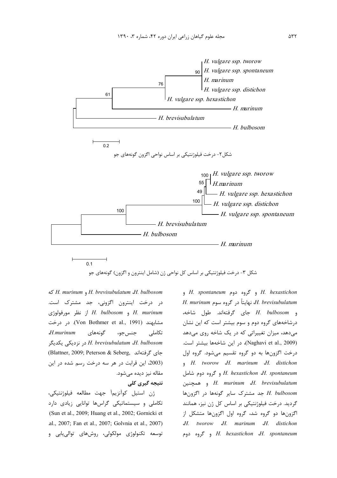

شکل ۳- درخت فیلوژنتیکی بر اساس کل نواحی ژن (شامل اینترون و اگزون) گونههای جو

H. murinum , H. brevisubulatum J. bulbosom در درخت اینترون اگزونی، جد مشترک است. H. murinum و H. bulbosom از نظر مورفولوژی مشابهند (Von Bothmer et al., 1991). در درخت  $H$ .murinum گونەھاي تكاملى جنس جو، در نزدیکی یکدیگر H. brevisubulatum ،H. bulbosom (Blattner, 2009; Peterson & Seberg, جاي گرفتهاند (2003، این قرابت در هر سه درخت رسم شده در این مقاله نیز دیده میشود. نتیجه گیری کلی

ژن استيل كوآنزيماً جهت مطالعه فيلوژنتيكي، تکاملی و سیستماتیکی گراسها توانایی زیادی دارد (Sun et al., 2009; Huang et al., 2002; Gornicki et .al., 2007; Fan et al., 2007; Golvnia et al., 2007) توسعه تکنولوژی مولکولی، روشهای توالیپایی و

H. hexastichon و گروه دوم H. spontaneum و گروه د H. brevisubulatum، نهايتاً در گروه سوم H. murinum و H. bulbosom جاي گرفتهاند. طول شاخه، درشاخههای گروه دوم و سوم بیشتر است که این نشان می دهد، میزان تغییراتی که در یک شاخه روی می دهد (Naghavi et al., 2009)، در این شاخهها بیشتر است. درخت اگزونها به دو گروه تقسیم میشود. گروه اول H. tworow H. marinum H. distichon H. hexastichon J. spontaneum و گروه دوم شامل و همچنین H. murinum *J. brevisubulatum* بد مشترک سایر گونهها در اگزونها H. bulbosom گردید. درخت فیلوژنتیکی بر اساس کل ژن نیز، همانند اگزونها دو گروه شد، گروه اول اگزونها متشکل از J. tworow J. marinum J. distichon *H. hexastichon J. spontaneum* و گروه دوم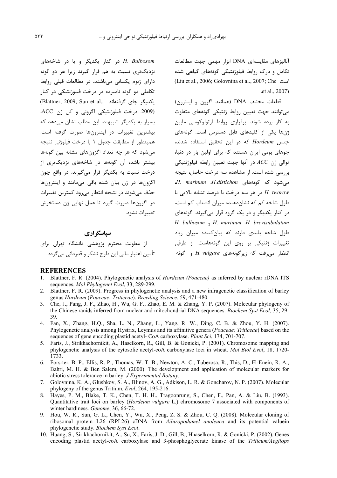آنالیزهای مقایسهای DNA ابزار مهمی جهت مطالعات تکامل و درک روابط فیلوژنتیکی گونههای گیاهی شده (Liu et al., 2006; Golovnina et al., 2007; Che .et al., 2007)

قطعات مختلف DNA (همانند اگزون و اینترون) می توانند جهت تعیین روابط ژنتیکی گونههای متفاوت به کار برده شوند. برقراری روابط ارتولوکوسی مابین ژنها یکی از کلیدهای قابل دسترس است. گونههای *جنس Hordeum که د*ر این تحقیق استفاده شدند، جوهای بومی ایران هستند که برای اولین بار در دنیا، توالي ژن $\mathit{ACC}$  در آنها جهت تعيين رابطه فيلوژنتيكي بررسی شده است. از مشاهده سه درخت حاصل، نتیجه مے شود که گونههای *H. marinum ،H.distichon* در هر سه درخت با درصد تشابه بالایی با A. tworow طول شاخه کم که نشاندهنده میزان انشعاب کم است، در کنار یکدیگر و در یک گروه قرار میگیرند. گونههای H. bulbosom  $\triangleleft$  H. murinum  $H$ . brevisubulatum طول شاخه بلندی دارند که بیان *ک*ننده میزان زیاد تغییرات ژنتیکی بر روی این گونههاست. از طرفی انتظار می فت که زیرگونههای H. vulgare و گونه

در کنار یکدیگر و یا در شاخههای H. Bulbosom نزدیکتری نسبت به هم قرار گیرند زیرا هر دو گونه دارای ژنوم یکسانی میباشند. در مطالعات قبلی روابط تکاملی دو گونه نامبرده در درخت فیلوژنتیکی در کنار (Blattner, 2009; Sun et al., بكديگر جاى گرفتهاند (2009. درخت فيلوژنتيكى اگزونى و كل ژن ACC، بسیا<sub>د</sub> به یکدیگر شیبهند، این مطلب نشان مے دهد که بیشترین تغییرات در اینترونها صورت گرفته است. همینطور از مطابقت جدول ۱ با درخت فیلوژنی نتیجه می شود که هر چه تعداد اگزونهای مشابه بین گونهها بیشتر باشد، آن گونهها در شاخههای نزدیکتری از درخت نسبت به یکدیگر قرار میگیرند. در واقع چون اگزونها در ژن بیان شده باقی میمانند و اینترونها حذف می شوند در نتیجه انتظار می رود کمترین تغییرات در اگزونها صورت گیرد تا عمل نهایی ژن دستخوش تغییرات نشود.

# سیاسگز اری

از معاونت محترم پژوهشی دانشگاه تهران برای تأمين اعتبار مالي اين طرح تشكر و قدرداني مي گردد.

# **REFERENCES**

- 1. Blattner, F. R. (2004). Phylogenetic analysis of *Hordeum (Poaceae)* as inferred by nuclear rDNA ITS sequences. Mol Phylogenet Evol, 33, 289-299.
- 2. Blattner, F. R. (2009). Progress in phylogenetic analysis and a new infragenetic classification of barley genus Hordeum (Poaceae: Triticeae). Breeding Science, 59, 471-480.
- 3. Che, J., Pang, J. F., Zhao, H., Wu, G. F., Zhao, E. M. & Zhang, Y. P. (2007). Molecular phylogeny of the Chinese ranids inferred from nuclear and mitochondrial DNA sequences. *Biochem Syst Ecol*, 35, 29-39
- 4. Fan, X., Zhang, H.Q., Sha, L. N., Zhang, L., Yang, R. W., Ding, C. B. & Zhou, Y. H. (2007). Phylogenetic analysis among Hystrix, Leymus and its affinitive genera (*Poaceae: Triticeae*) based on the sequences of gene encoding plastid acetyl- CoA carboxylase. Plant Sci, 174, 701-707.
- 5. Faris, J., Sirikhachornikit, A., Haselkorn, R., Gill, B. & Gonicki, P. (2001). Chromosome mapping and phylogenetic analysis of the cytosolic acetyl-coA carboxylase loci in wheat. Mol Biol Evol, 18, 1720-1733.
- 6. Forsrter, B. P., Ellis, R. P., Thomas, W. T. B., Newton, A. C., Tuberosa, R., This, D., El-Enein, R. A., Bahri, M. H. & Ben Salem, M. (2000). The development and application of molecular markers for abiotic stress tolerance in barley. J Experimental Botany.
- 7. Golovnina, K. A., Glushkov, S. A., Blinov, A. G., Adkison, L. R. & Goncharov, N. P. (2007). Molecular phylogeny of the genus Tritium. Evol. 264, 195-216.
- Hayes, P. M., Blake, T. K., Chen, T. H. H., Tragoonrung, S., Chen, F., Pan, A. & Liu, B. (1993). 8. Quantitative trait loci on barley (Hordeum vulgare L.) chromosome 7 associated with components of winter hardiness. Genome, 36, 66-72.
- 9. Hou, W. R., Sun, G. L., Chen, Y., Wu, X., Peng, Z. S. & Zhou, C. Q. (2008). Molecular cloning of ribosomal protein L26 (RPL26) cDNA from *Ailuropodamel anoleuca* and its potential valuein phylogenetic study. Biochem Syst Ecol.
- 10. Huang, S., Sirikhachornikit, A., Su, X., Faris, J. D., Gill, B., Hhaselkorn, R. & Gonicki, P. (2002). Genes encoding plastid acetyl-coA carboxylase and 3-phosphoglycerate kinase of the Triticum/Aegilops